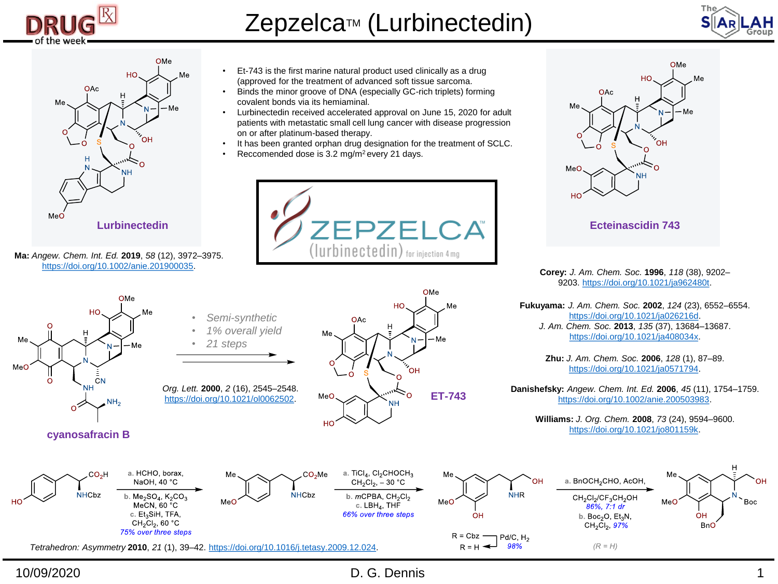

Zepzelca<sup>™</sup> (Lurbinectedin)





**Ma:** *Angew. Chem. Int. Ed.* **2019**, *58* (12), 3972–3975. [https://doi.org/10.1002/anie.201900035.](https://doi.org/10.1002/anie.201900035)

- Et-743 is the first marine natural product used clinically as a drug (approved for the treatment of advanced soft tissue sarcoma.
- Binds the minor groove of DNA (especially GC-rich triplets) forming covalent bonds via its hemiaminal.
- Lurbinectedin received accelerated approval on June 15, 2020 for adult patients with metastatic small cell lung cancer with disease progression on or after platinum-based therapy.
- It has been granted orphan drug designation for the treatment of SCLC.
- Reccomended dose is 3.2 mg/m<sup>2</sup> every 21 days.







**Corey:** *J. Am. Chem. Soc.* **1996**, *118* (38), 9202– 9203. [https://doi.org/10.1021/ja962480t.](https://doi.org/10.1021/ja962480t)

**Fukuyama:** *J. Am. Chem. Soc.* **2002**, *124* (23), 6552–6554. [https://doi.org/10.1021/ja026216d.](https://doi.org/10.1021/ja026216d) *J. Am. Chem. Soc.* **2013**, *135* (37), 13684–13687. <https://doi.org/10.1021/ja408034x>.

> **Zhu:** *J. Am. Chem. Soc.* **2006**, *128* (1), 87–89. <https://doi.org/10.1021/ja0571794>.

**Danishefsky:** *Angew. Chem. Int. Ed.* **2006**, *45* (11), 1754–1759. [https://doi.org/10.1002/anie.200503983.](https://doi.org/10.1002/anie.200503983)

> **Williams:** *J. Org. Chem.* **2008**, *73* (24), 9594–9600. <https://doi.org/10.1021/jo801159k>.

> > MeO

OH

**BnO** 

CH<sub>2</sub>Cl<sub>2</sub>/CF<sub>3</sub>CH<sub>2</sub>OH

86%, 7:1 dr

b. Boc<sub>2</sub>O,  $Et_3N$ ,

 $CH<sub>2</sub>Cl<sub>2</sub>, 97%$ 

 $(R = H)$ 

10/09/2020 D. G. Dennis 1

Boc

H